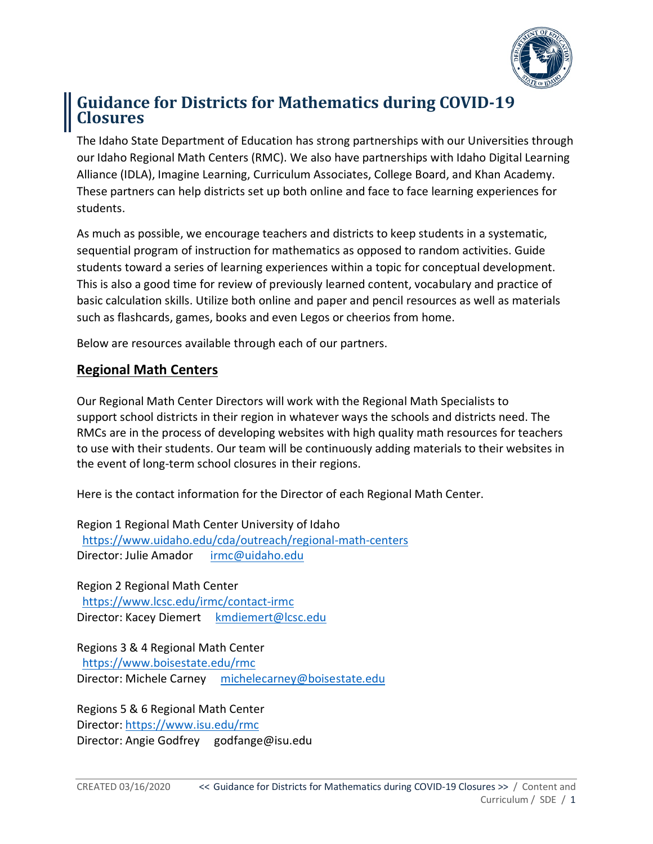

# **Guidance for Districts for Mathematics during COVID-19 Closures**

The Idaho State Department of Education has strong partnerships with our Universities through our Idaho Regional Math Centers (RMC). We also have partnerships with Idaho Digital Learning Alliance (IDLA), Imagine Learning, Curriculum Associates, College Board, and Khan Academy. These partners can help districts set up both online and face to face learning experiences for students.

As much as possible, we encourage teachers and districts to keep students in a systematic, sequential program of instruction for mathematics as opposed to random activities. Guide students toward a series of learning experiences within a topic for conceptual development. This is also a good time for review of previously learned content, vocabulary and practice of basic calculation skills. Utilize both online and paper and pencil resources as well as materials such as flashcards, games, books and even Legos or cheerios from home.

Below are resources available through each of our partners.

## **Regional Math Centers**

Our Regional Math Center Directors will work with the Regional Math Specialists to support school districts in their region in whatever ways the schools and districts need. The RMCs are in the process of developing websites with high quality math resources for teachers to use with their students. Our team will be continuously adding materials to their websites in the event of long-term school closures in their regions.

Here is the contact information for the Director of each Regional Math Center.

Region 1 Regional Math Center University of Idaho <https://www.uidaho.edu/cda/outreach/regional-math-centers> Director: Julie Amador [irmc@uidaho.edu](mailto:irmc@uidaho.edu)

Region 2 Regional Math Center <https://www.lcsc.edu/irmc/contact-irmc> Director: Kacey Diemert [kmdiemert@lcsc.edu](mailto:kmdiemert@lcsc.edu)

Regions 3 & 4 Regional Math Center <https://www.boisestate.edu/rmc> Director: Michele Carney [michelecarney@boisestate.edu](mailto:michellecarney@boisestate.edu)

Regions 5 & 6 Regional Math Center Director: <https://www.isu.edu/rmc> Director: Angie Godfrey godfange@isu.edu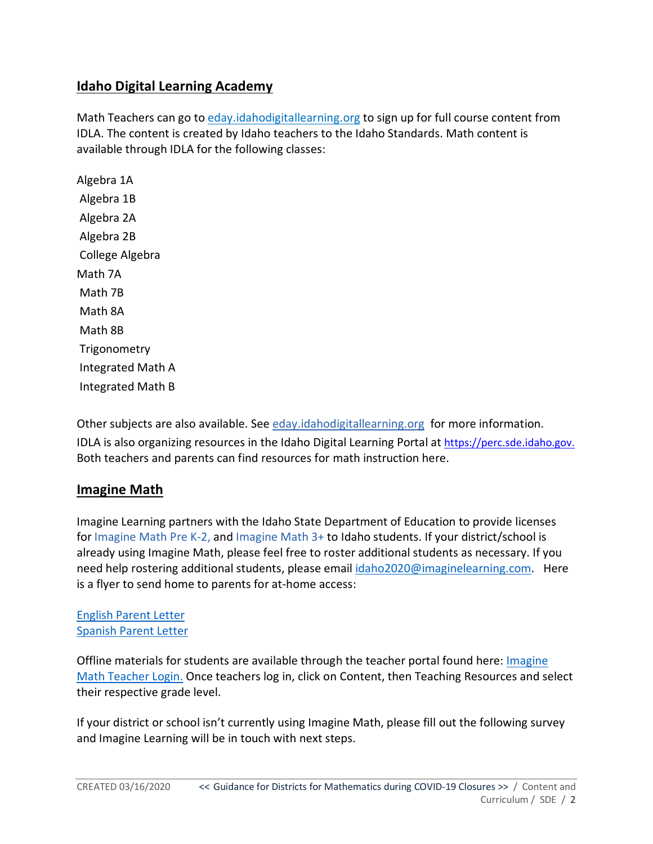# **Idaho Digital Learning Academy**

Math Teachers can go to [eday.idahodigitallearning.org](http://eday.idahodigitallearning.org/) to sign up for full course content from IDLA. The content is created by Idaho teachers to the Idaho Standards. Math content is available through IDLA for the following classes:

Algebra 1A Algebra 1B Algebra 2A Algebra 2B College Algebra Math 7A Math 7B Math 8A Math 8B **Trigonometry** Integrated Math A Integrated Math B

Other subjects are also available. See [eday.idahodigitallearning.org](http://eday.idahodigitallearning.org/) for more information.

IDLA is also organizing resources in the Idaho Digital Learning Portal at https://perc.sde.idaho.gov. Both teachers and parents can find resources for math instruction here.

## **Imagine Math**

Imagine Learning partners with the Idaho State Department of Education to provide licenses for [Imagine Math Pre K-2,](https://www.imaginelearning.com/math/prek-2) and [Imagine Math 3+](https://www.imaginelearning.com/math/3-8) to Idaho students. If your district/school is already using Imagine Math, please feel free to roster additional students as necessary. If you need help rostering additional students, please email [idaho2020@imaginelearning.com.](mailto:idaho2020@imaginelearning.com) Here is a flyer to send home to parents for at-home access:

#### [English Parent Letter](https://imaginelearning.app.box.com/s/p7mrmjogjtnyac8lmvhq52de245pqzp0/file/632760788991) [Spanish Parent Letter](https://imaginelearning.app.box.com/s/p7mrmjogjtnyac8lmvhq52de245pqzp0/file/632761104550)

Offline materials for students are available through the teacher portal found here: [Imagine](https://math.imaginelearning.com/users/sign_in)  [Math Teacher Login.](https://math.imaginelearning.com/users/sign_in) Once teachers log in, click on Content, then Teaching Resources and select their respective grade level.

If your district or school isn't currently using Imagine Math, please fill out the following survey and Imagine Learning will be in touch with next steps.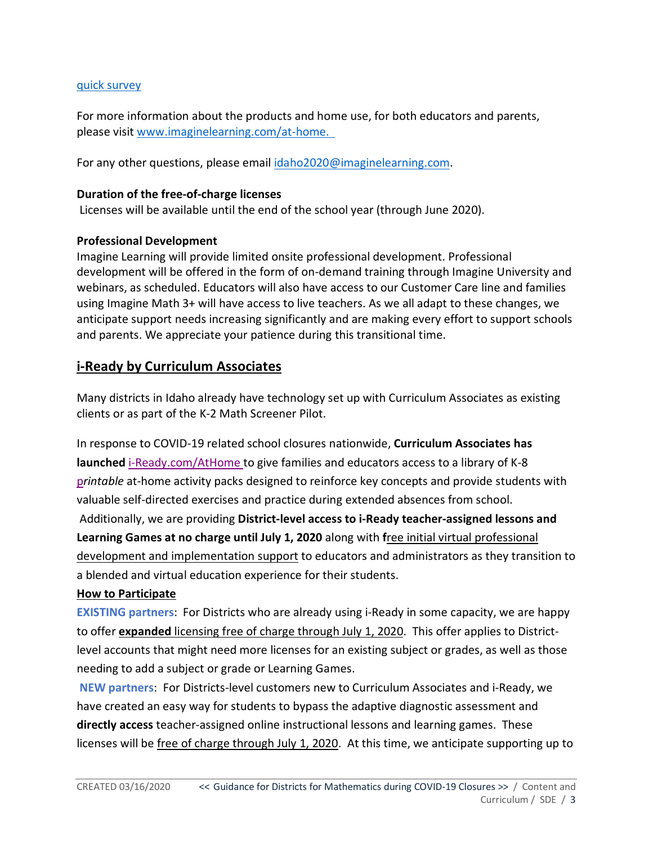#### [quick survey](https://nam02.safelinks.protection.outlook.com/?url=https%3A%2F%2Fil.az1.qualtrics.com%2Fjfe%2Fform%2FSV_eLqtZHIBxLWc6vH&data=02%7C01%7Cemily.bybee%40imaginelearning.com%7C485b770b230e43bfe5d408d7c7a92d2f%7Cd99998669d2c4a65b3be06a4bd34f3fb%7C0%7C0%7C637197401744145303&sdata=qsCQDq%2BguZQOTZVvQ%2B7ivrGSftEF3S%2FZsrrozvhkTbg%3D&reserved=0)

For more information about the products and home use, for both educators and parents, please visit [www.imaginelearning.com/at-home.](http://www.imaginelearning.com/at-home)

For any other questions, please email [idaho2020@imaginelearning.com.](mailto:idaho2020@imaginelearning.com)

#### **Duration of the free-of-charge licenses**

Licenses will be available until the end of the school year (through June 2020).

#### **Professional Development**

Imagine Learning will provide limited onsite professional development. Professional development will be offered in the form of on-demand training through Imagine University and webinars, as scheduled. Educators will also have access to our Customer Care line and families using Imagine Math 3+ will have access to live teachers. As we all adapt to these changes, we anticipate support needs increasing significantly and are making every effort to support schools and parents. We appreciate your patience during this transitional time.

# **i-Ready by Curriculum Associates**

Many districts in Idaho already have technology set up with Curriculum Associates as existing clients or as part of the K-2 Math Screener Pilot.

In response to COVID-19 related school closures nationwide, **Curriculum Associates has launched** [i-Ready.com/AtHome](http://www.i-ready.com/AtHome) to give families and educators access to a library of K-8 p*rintable* at-home activity packs designed to reinforce key concepts and provide students with valuable self-directed exercises and practice during extended absences from school. Additionally, we are providing **District-level access to i-Ready teacher-assigned lessons and Learning Games at no charge until July 1, 2020** along with **f**ree initial virtual professional development and implementation support to educators and administrators as they transition to a blended and virtual education experience for their students.

#### **How to Participate**

**EXISTING partners**: For Districts who are already using i-Ready in some capacity, we are happy to offer **expanded** licensing free of charge through July 1, 2020. This offer applies to Districtlevel accounts that might need more licenses for an existing subject or grades, as well as those needing to add a subject or grade or Learning Games.

**NEW partners**: For Districts-level customers new to Curriculum Associates and i-Ready, we have created an easy way for students to bypass the adaptive diagnostic assessment and **directly access** teacher-assigned online instructional lessons and learning games. These licenses will be free of charge through July 1, 2020. At this time, we anticipate supporting up to